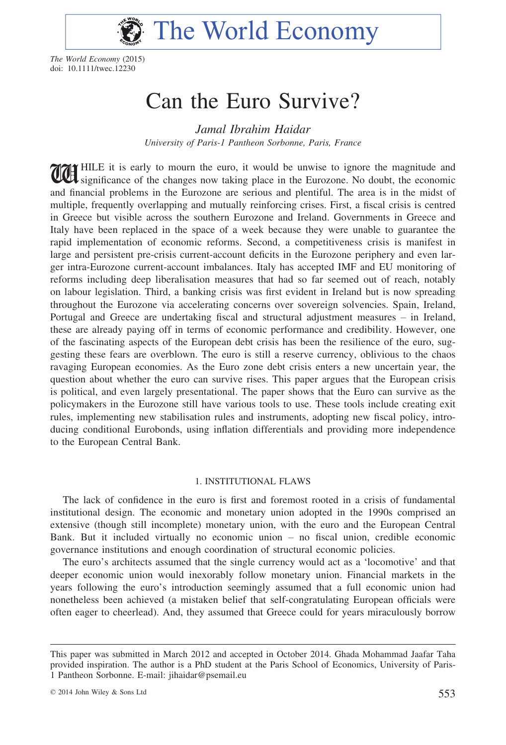

The World Economy (2015) doi: 10.1111/twec.12230

# Can the Euro Survive?

Jamal Ibrahim Haidar University of Paris-1 Pantheon Sorbonne, Paris, France

**THE THE SET IS CONTROLLER THE EXECUTE IS EXECUTE IN EUROPE IS A SIGNATURE IN A SIGNATURE IS A SIGNATURE IS A SIGNATURE IN A SIGNATURE IS A SIGNATURE IS A SIGNATURE IN A SIGNATURE IS A SIGNATURE IS A SIGNATURE IS A SIGNATU** and financial problems in the Eurozone are serious and plentiful. The area is in the midst of multiple, frequently overlapping and mutually reinforcing crises. First, a fiscal crisis is centred in Greece but visible across the southern Eurozone and Ireland. Governments in Greece and Italy have been replaced in the space of a week because they were unable to guarantee the rapid implementation of economic reforms. Second, a competitiveness crisis is manifest in large and persistent pre-crisis current-account deficits in the Eurozone periphery and even larger intra-Eurozone current-account imbalances. Italy has accepted IMF and EU monitoring of reforms including deep liberalisation measures that had so far seemed out of reach, notably on labour legislation. Third, a banking crisis was first evident in Ireland but is now spreading throughout the Eurozone via accelerating concerns over sovereign solvencies. Spain, Ireland, Portugal and Greece are undertaking fiscal and structural adjustment measures – in Ireland, these are already paying off in terms of economic performance and credibility. However, one of the fascinating aspects of the European debt crisis has been the resilience of the euro, suggesting these fears are overblown. The euro is still a reserve currency, oblivious to the chaos ravaging European economies. As the Euro zone debt crisis enters a new uncertain year, the question about whether the euro can survive rises. This paper argues that the European crisis is political, and even largely presentational. The paper shows that the Euro can survive as the policymakers in the Eurozone still have various tools to use. These tools include creating exit rules, implementing new stabilisation rules and instruments, adopting new fiscal policy, introducing conditional Eurobonds, using inflation differentials and providing more independence to the European Central Bank.

## 1. INSTITUTIONAL FLAWS

The lack of confidence in the euro is first and foremost rooted in a crisis of fundamental institutional design. The economic and monetary union adopted in the 1990s comprised an extensive (though still incomplete) monetary union, with the euro and the European Central Bank. But it included virtually no economic union – no fiscal union, credible economic governance institutions and enough coordination of structural economic policies.

The euro's architects assumed that the single currency would act as a 'locomotive' and that deeper economic union would inexorably follow monetary union. Financial markets in the years following the euro's introduction seemingly assumed that a full economic union had nonetheless been achieved (a mistaken belief that self-congratulating European officials were often eager to cheerlead). And, they assumed that Greece could for years miraculously borrow

This paper was submitted in March 2012 and accepted in October 2014. Ghada Mohammad Jaafar Taha provided inspiration. The author is a PhD student at the Paris School of Economics, University of Paris-1 Pantheon Sorbonne. E-mail: jihaidar@psemail.eu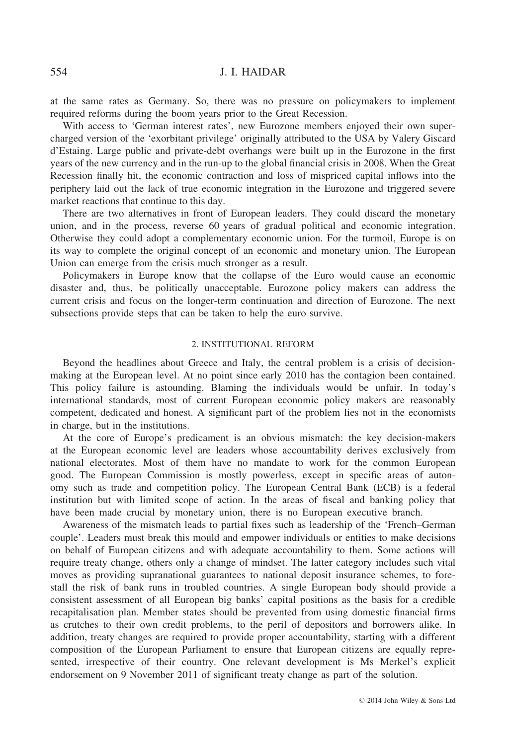at the same rates as Germany. So, there was no pressure on policymakers to implement required reforms during the boom years prior to the Great Recession.

With access to 'German interest rates', new Eurozone members enjoyed their own supercharged version of the 'exorbitant privilege' originally attributed to the USA by Valery Giscard d'Estaing. Large public and private-debt overhangs were built up in the Eurozone in the first years of the new currency and in the run-up to the global financial crisis in 2008. When the Great Recession finally hit, the economic contraction and loss of mispriced capital inflows into the periphery laid out the lack of true economic integration in the Eurozone and triggered severe market reactions that continue to this day.

There are two alternatives in front of European leaders. They could discard the monetary union, and in the process, reverse 60 years of gradual political and economic integration. Otherwise they could adopt a complementary economic union. For the turmoil, Europe is on its way to complete the original concept of an economic and monetary union. The European Union can emerge from the crisis much stronger as a result.

Policymakers in Europe know that the collapse of the Euro would cause an economic disaster and, thus, be politically unacceptable. Eurozone policy makers can address the current crisis and focus on the longer-term continuation and direction of Eurozone. The next subsections provide steps that can be taken to help the euro survive.

# 2. INSTITUTIONAL REFORM

Beyond the headlines about Greece and Italy, the central problem is a crisis of decisionmaking at the European level. At no point since early 2010 has the contagion been contained. This policy failure is astounding. Blaming the individuals would be unfair. In today's international standards, most of current European economic policy makers are reasonably competent, dedicated and honest. A significant part of the problem lies not in the economists in charge, but in the institutions.

At the core of Europe's predicament is an obvious mismatch: the key decision-makers at the European economic level are leaders whose accountability derives exclusively from national electorates. Most of them have no mandate to work for the common European good. The European Commission is mostly powerless, except in specific areas of autonomy such as trade and competition policy. The European Central Bank (ECB) is a federal institution but with limited scope of action. In the areas of fiscal and banking policy that have been made crucial by monetary union, there is no European executive branch.

Awareness of the mismatch leads to partial fixes such as leadership of the 'French–German couple'. Leaders must break this mould and empower individuals or entities to make decisions on behalf of European citizens and with adequate accountability to them. Some actions will require treaty change, others only a change of mindset. The latter category includes such vital moves as providing supranational guarantees to national deposit insurance schemes, to forestall the risk of bank runs in troubled countries. A single European body should provide a consistent assessment of all European big banks' capital positions as the basis for a credible recapitalisation plan. Member states should be prevented from using domestic financial firms as crutches to their own credit problems, to the peril of depositors and borrowers alike. In addition, treaty changes are required to provide proper accountability, starting with a different composition of the European Parliament to ensure that European citizens are equally represented, irrespective of their country. One relevant development is Ms Merkel's explicit endorsement on 9 November 2011 of significant treaty change as part of the solution.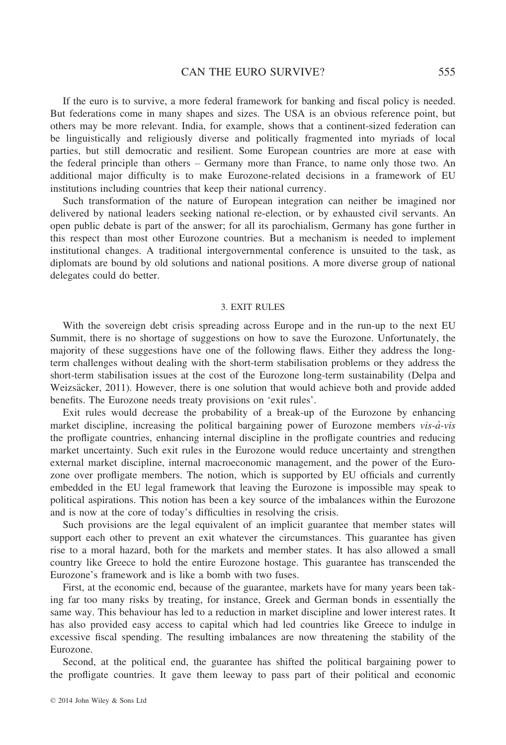If the euro is to survive, a more federal framework for banking and fiscal policy is needed. But federations come in many shapes and sizes. The USA is an obvious reference point, but others may be more relevant. India, for example, shows that a continent-sized federation can be linguistically and religiously diverse and politically fragmented into myriads of local parties, but still democratic and resilient. Some European countries are more at ease with the federal principle than others – Germany more than France, to name only those two. An additional major difficulty is to make Eurozone-related decisions in a framework of EU institutions including countries that keep their national currency.

Such transformation of the nature of European integration can neither be imagined nor delivered by national leaders seeking national re-election, or by exhausted civil servants. An open public debate is part of the answer; for all its parochialism, Germany has gone further in this respect than most other Eurozone countries. But a mechanism is needed to implement institutional changes. A traditional intergovernmental conference is unsuited to the task, as diplomats are bound by old solutions and national positions. A more diverse group of national delegates could do better.

#### 3. EXIT RULES

With the sovereign debt crisis spreading across Europe and in the run-up to the next EU Summit, there is no shortage of suggestions on how to save the Eurozone. Unfortunately, the majority of these suggestions have one of the following flaws. Either they address the longterm challenges without dealing with the short-term stabilisation problems or they address the short-term stabilisation issues at the cost of the Eurozone long-term sustainability (Delpa and Weizsäcker, 2011). However, there is one solution that would achieve both and provide added benefits. The Eurozone needs treaty provisions on 'exit rules'.

Exit rules would decrease the probability of a break-up of the Eurozone by enhancing market discipline, increasing the political bargaining power of Eurozone members  $vis-\hat{a}-vis$ the profligate countries, enhancing internal discipline in the profligate countries and reducing market uncertainty. Such exit rules in the Eurozone would reduce uncertainty and strengthen external market discipline, internal macroeconomic management, and the power of the Eurozone over profligate members. The notion, which is supported by EU officials and currently embedded in the EU legal framework that leaving the Eurozone is impossible may speak to political aspirations. This notion has been a key source of the imbalances within the Eurozone and is now at the core of today's difficulties in resolving the crisis.

Such provisions are the legal equivalent of an implicit guarantee that member states will support each other to prevent an exit whatever the circumstances. This guarantee has given rise to a moral hazard, both for the markets and member states. It has also allowed a small country like Greece to hold the entire Eurozone hostage. This guarantee has transcended the Eurozone's framework and is like a bomb with two fuses.

First, at the economic end, because of the guarantee, markets have for many years been taking far too many risks by treating, for instance, Greek and German bonds in essentially the same way. This behaviour has led to a reduction in market discipline and lower interest rates. It has also provided easy access to capital which had led countries like Greece to indulge in excessive fiscal spending. The resulting imbalances are now threatening the stability of the Eurozone.

Second, at the political end, the guarantee has shifted the political bargaining power to the profligate countries. It gave them leeway to pass part of their political and economic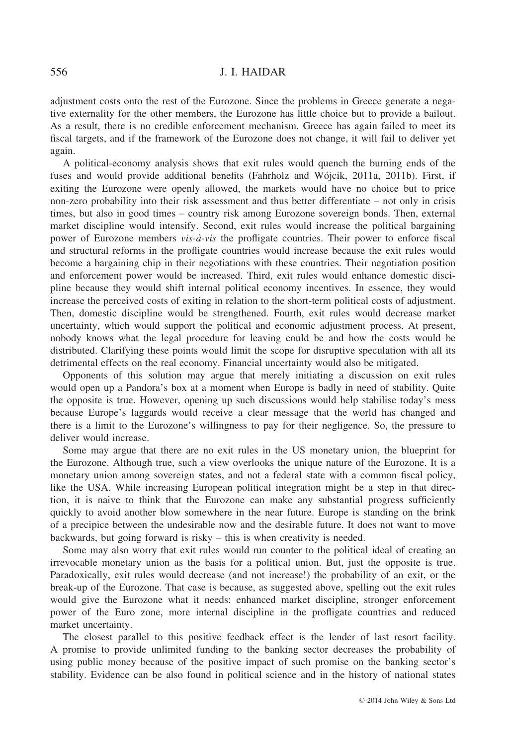adjustment costs onto the rest of the Eurozone. Since the problems in Greece generate a negative externality for the other members, the Eurozone has little choice but to provide a bailout. As a result, there is no credible enforcement mechanism. Greece has again failed to meet its fiscal targets, and if the framework of the Eurozone does not change, it will fail to deliver yet again.

A political-economy analysis shows that exit rules would quench the burning ends of the fuses and would provide additional benefits (Fahrholz and Wójcik, 2011a, 2011b). First, if exiting the Eurozone were openly allowed, the markets would have no choice but to price non-zero probability into their risk assessment and thus better differentiate – not only in crisis times, but also in good times – country risk among Eurozone sovereign bonds. Then, external market discipline would intensify. Second, exit rules would increase the political bargaining power of Eurozone members vis-à-vis the profligate countries. Their power to enforce fiscal and structural reforms in the profligate countries would increase because the exit rules would become a bargaining chip in their negotiations with these countries. Their negotiation position and enforcement power would be increased. Third, exit rules would enhance domestic discipline because they would shift internal political economy incentives. In essence, they would increase the perceived costs of exiting in relation to the short-term political costs of adjustment. Then, domestic discipline would be strengthened. Fourth, exit rules would decrease market uncertainty, which would support the political and economic adjustment process. At present, nobody knows what the legal procedure for leaving could be and how the costs would be distributed. Clarifying these points would limit the scope for disruptive speculation with all its detrimental effects on the real economy. Financial uncertainty would also be mitigated.

Opponents of this solution may argue that merely initiating a discussion on exit rules would open up a Pandora's box at a moment when Europe is badly in need of stability. Quite the opposite is true. However, opening up such discussions would help stabilise today's mess because Europe's laggards would receive a clear message that the world has changed and there is a limit to the Eurozone's willingness to pay for their negligence. So, the pressure to deliver would increase.

Some may argue that there are no exit rules in the US monetary union, the blueprint for the Eurozone. Although true, such a view overlooks the unique nature of the Eurozone. It is a monetary union among sovereign states, and not a federal state with a common fiscal policy, like the USA. While increasing European political integration might be a step in that direction, it is naive to think that the Eurozone can make any substantial progress sufficiently quickly to avoid another blow somewhere in the near future. Europe is standing on the brink of a precipice between the undesirable now and the desirable future. It does not want to move backwards, but going forward is risky – this is when creativity is needed.

Some may also worry that exit rules would run counter to the political ideal of creating an irrevocable monetary union as the basis for a political union. But, just the opposite is true. Paradoxically, exit rules would decrease (and not increase!) the probability of an exit, or the break-up of the Eurozone. That case is because, as suggested above, spelling out the exit rules would give the Eurozone what it needs: enhanced market discipline, stronger enforcement power of the Euro zone, more internal discipline in the profligate countries and reduced market uncertainty.

The closest parallel to this positive feedback effect is the lender of last resort facility. A promise to provide unlimited funding to the banking sector decreases the probability of using public money because of the positive impact of such promise on the banking sector's stability. Evidence can be also found in political science and in the history of national states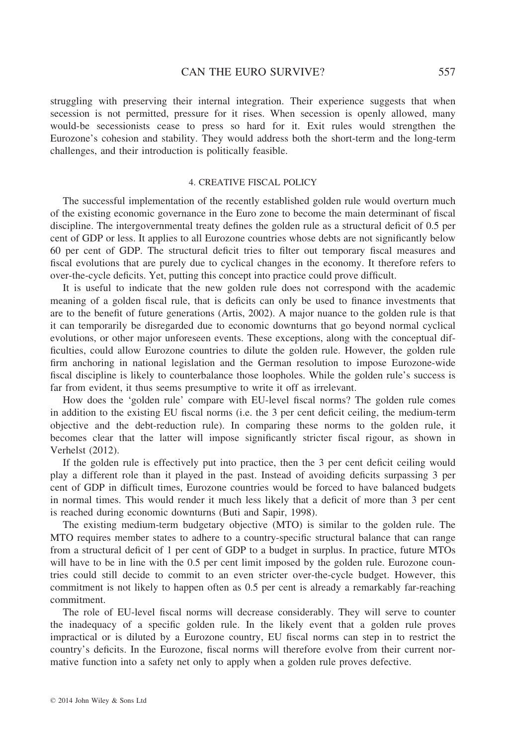struggling with preserving their internal integration. Their experience suggests that when secession is not permitted, pressure for it rises. When secession is openly allowed, many would-be secessionists cease to press so hard for it. Exit rules would strengthen the Eurozone's cohesion and stability. They would address both the short-term and the long-term challenges, and their introduction is politically feasible.

## 4. CREATIVE FISCAL POLICY

The successful implementation of the recently established golden rule would overturn much of the existing economic governance in the Euro zone to become the main determinant of fiscal discipline. The intergovernmental treaty defines the golden rule as a structural deficit of 0.5 per cent of GDP or less. It applies to all Eurozone countries whose debts are not significantly below 60 per cent of GDP. The structural deficit tries to filter out temporary fiscal measures and fiscal evolutions that are purely due to cyclical changes in the economy. It therefore refers to over-the-cycle deficits. Yet, putting this concept into practice could prove difficult.

It is useful to indicate that the new golden rule does not correspond with the academic meaning of a golden fiscal rule, that is deficits can only be used to finance investments that are to the benefit of future generations (Artis, 2002). A major nuance to the golden rule is that it can temporarily be disregarded due to economic downturns that go beyond normal cyclical evolutions, or other major unforeseen events. These exceptions, along with the conceptual difficulties, could allow Eurozone countries to dilute the golden rule. However, the golden rule firm anchoring in national legislation and the German resolution to impose Eurozone-wide fiscal discipline is likely to counterbalance those loopholes. While the golden rule's success is far from evident, it thus seems presumptive to write it off as irrelevant.

How does the 'golden rule' compare with EU-level fiscal norms? The golden rule comes in addition to the existing EU fiscal norms (i.e. the 3 per cent deficit ceiling, the medium-term objective and the debt-reduction rule). In comparing these norms to the golden rule, it becomes clear that the latter will impose significantly stricter fiscal rigour, as shown in Verhelst (2012).

If the golden rule is effectively put into practice, then the 3 per cent deficit ceiling would play a different role than it played in the past. Instead of avoiding deficits surpassing 3 per cent of GDP in difficult times, Eurozone countries would be forced to have balanced budgets in normal times. This would render it much less likely that a deficit of more than 3 per cent is reached during economic downturns (Buti and Sapir, 1998).

The existing medium-term budgetary objective (MTO) is similar to the golden rule. The MTO requires member states to adhere to a country-specific structural balance that can range from a structural deficit of 1 per cent of GDP to a budget in surplus. In practice, future MTOs will have to be in line with the 0.5 per cent limit imposed by the golden rule. Eurozone countries could still decide to commit to an even stricter over-the-cycle budget. However, this commitment is not likely to happen often as 0.5 per cent is already a remarkably far-reaching commitment.

The role of EU-level fiscal norms will decrease considerably. They will serve to counter the inadequacy of a specific golden rule. In the likely event that a golden rule proves impractical or is diluted by a Eurozone country, EU fiscal norms can step in to restrict the country's deficits. In the Eurozone, fiscal norms will therefore evolve from their current normative function into a safety net only to apply when a golden rule proves defective.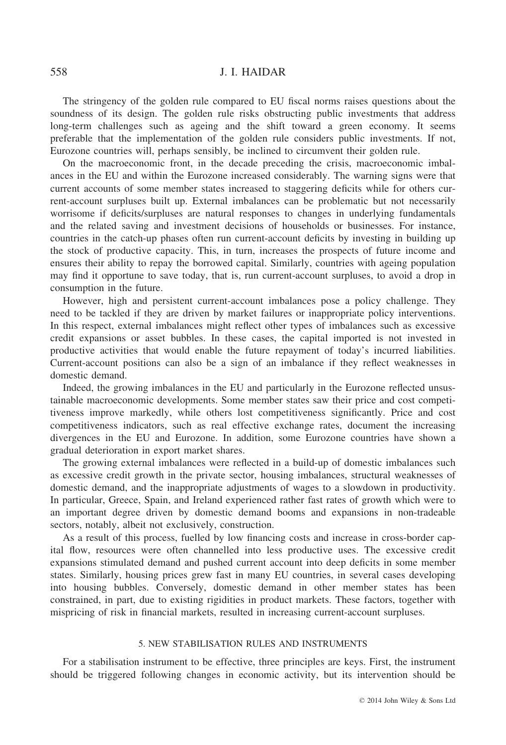The stringency of the golden rule compared to EU fiscal norms raises questions about the soundness of its design. The golden rule risks obstructing public investments that address long-term challenges such as ageing and the shift toward a green economy. It seems preferable that the implementation of the golden rule considers public investments. If not, Eurozone countries will, perhaps sensibly, be inclined to circumvent their golden rule.

On the macroeconomic front, in the decade preceding the crisis, macroeconomic imbalances in the EU and within the Eurozone increased considerably. The warning signs were that current accounts of some member states increased to staggering deficits while for others current-account surpluses built up. External imbalances can be problematic but not necessarily worrisome if deficits/surpluses are natural responses to changes in underlying fundamentals and the related saving and investment decisions of households or businesses. For instance, countries in the catch-up phases often run current-account deficits by investing in building up the stock of productive capacity. This, in turn, increases the prospects of future income and ensures their ability to repay the borrowed capital. Similarly, countries with ageing population may find it opportune to save today, that is, run current-account surpluses, to avoid a drop in consumption in the future.

However, high and persistent current-account imbalances pose a policy challenge. They need to be tackled if they are driven by market failures or inappropriate policy interventions. In this respect, external imbalances might reflect other types of imbalances such as excessive credit expansions or asset bubbles. In these cases, the capital imported is not invested in productive activities that would enable the future repayment of today's incurred liabilities. Current-account positions can also be a sign of an imbalance if they reflect weaknesses in domestic demand.

Indeed, the growing imbalances in the EU and particularly in the Eurozone reflected unsustainable macroeconomic developments. Some member states saw their price and cost competitiveness improve markedly, while others lost competitiveness significantly. Price and cost competitiveness indicators, such as real effective exchange rates, document the increasing divergences in the EU and Eurozone. In addition, some Eurozone countries have shown a gradual deterioration in export market shares.

The growing external imbalances were reflected in a build-up of domestic imbalances such as excessive credit growth in the private sector, housing imbalances, structural weaknesses of domestic demand, and the inappropriate adjustments of wages to a slowdown in productivity. In particular, Greece, Spain, and Ireland experienced rather fast rates of growth which were to an important degree driven by domestic demand booms and expansions in non-tradeable sectors, notably, albeit not exclusively, construction.

As a result of this process, fuelled by low financing costs and increase in cross-border capital flow, resources were often channelled into less productive uses. The excessive credit expansions stimulated demand and pushed current account into deep deficits in some member states. Similarly, housing prices grew fast in many EU countries, in several cases developing into housing bubbles. Conversely, domestic demand in other member states has been constrained, in part, due to existing rigidities in product markets. These factors, together with mispricing of risk in financial markets, resulted in increasing current-account surpluses.

# 5. NEW STABILISATION RULES AND INSTRUMENTS

For a stabilisation instrument to be effective, three principles are keys. First, the instrument should be triggered following changes in economic activity, but its intervention should be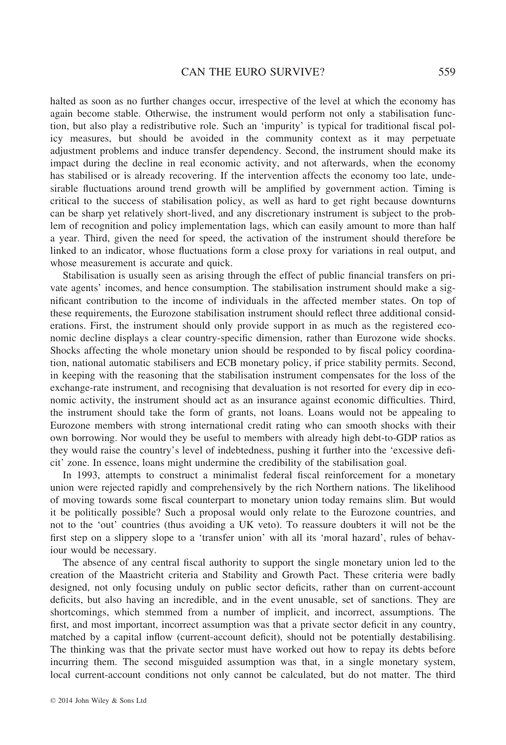halted as soon as no further changes occur, irrespective of the level at which the economy has again become stable. Otherwise, the instrument would perform not only a stabilisation function, but also play a redistributive role. Such an 'impurity' is typical for traditional fiscal policy measures, but should be avoided in the community context as it may perpetuate adjustment problems and induce transfer dependency. Second, the instrument should make its impact during the decline in real economic activity, and not afterwards, when the economy has stabilised or is already recovering. If the intervention affects the economy too late, undesirable fluctuations around trend growth will be amplified by government action. Timing is critical to the success of stabilisation policy, as well as hard to get right because downturns can be sharp yet relatively short-lived, and any discretionary instrument is subject to the problem of recognition and policy implementation lags, which can easily amount to more than half a year. Third, given the need for speed, the activation of the instrument should therefore be linked to an indicator, whose fluctuations form a close proxy for variations in real output, and whose measurement is accurate and quick.

Stabilisation is usually seen as arising through the effect of public financial transfers on private agents' incomes, and hence consumption. The stabilisation instrument should make a significant contribution to the income of individuals in the affected member states. On top of these requirements, the Eurozone stabilisation instrument should reflect three additional considerations. First, the instrument should only provide support in as much as the registered economic decline displays a clear country-specific dimension, rather than Eurozone wide shocks. Shocks affecting the whole monetary union should be responded to by fiscal policy coordination, national automatic stabilisers and ECB monetary policy, if price stability permits. Second, in keeping with the reasoning that the stabilisation instrument compensates for the loss of the exchange-rate instrument, and recognising that devaluation is not resorted for every dip in economic activity, the instrument should act as an insurance against economic difficulties. Third, the instrument should take the form of grants, not loans. Loans would not be appealing to Eurozone members with strong international credit rating who can smooth shocks with their own borrowing. Nor would they be useful to members with already high debt-to-GDP ratios as they would raise the country's level of indebtedness, pushing it further into the 'excessive deficit' zone. In essence, loans might undermine the credibility of the stabilisation goal.

In 1993, attempts to construct a minimalist federal fiscal reinforcement for a monetary union were rejected rapidly and comprehensively by the rich Northern nations. The likelihood of moving towards some fiscal counterpart to monetary union today remains slim. But would it be politically possible? Such a proposal would only relate to the Eurozone countries, and not to the 'out' countries (thus avoiding a UK veto). To reassure doubters it will not be the first step on a slippery slope to a 'transfer union' with all its 'moral hazard', rules of behaviour would be necessary.

The absence of any central fiscal authority to support the single monetary union led to the creation of the Maastricht criteria and Stability and Growth Pact. These criteria were badly designed, not only focusing unduly on public sector deficits, rather than on current-account deficits, but also having an incredible, and in the event unusable, set of sanctions. They are shortcomings, which stemmed from a number of implicit, and incorrect, assumptions. The first, and most important, incorrect assumption was that a private sector deficit in any country, matched by a capital inflow (current-account deficit), should not be potentially destabilising. The thinking was that the private sector must have worked out how to repay its debts before incurring them. The second misguided assumption was that, in a single monetary system, local current-account conditions not only cannot be calculated, but do not matter. The third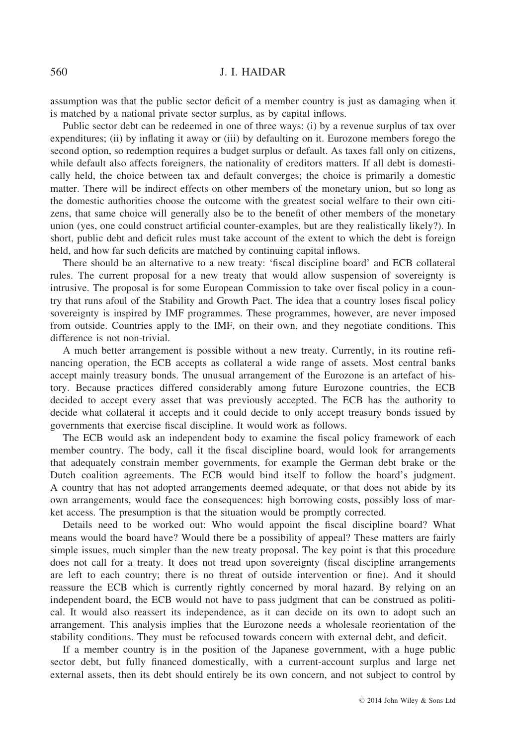assumption was that the public sector deficit of a member country is just as damaging when it is matched by a national private sector surplus, as by capital inflows.

Public sector debt can be redeemed in one of three ways: (i) by a revenue surplus of tax over expenditures; (ii) by inflating it away or (iii) by defaulting on it. Eurozone members forego the second option, so redemption requires a budget surplus or default. As taxes fall only on citizens, while default also affects foreigners, the nationality of creditors matters. If all debt is domestically held, the choice between tax and default converges; the choice is primarily a domestic matter. There will be indirect effects on other members of the monetary union, but so long as the domestic authorities choose the outcome with the greatest social welfare to their own citizens, that same choice will generally also be to the benefit of other members of the monetary union (yes, one could construct artificial counter-examples, but are they realistically likely?). In short, public debt and deficit rules must take account of the extent to which the debt is foreign held, and how far such deficits are matched by continuing capital inflows.

There should be an alternative to a new treaty: 'fiscal discipline board' and ECB collateral rules. The current proposal for a new treaty that would allow suspension of sovereignty is intrusive. The proposal is for some European Commission to take over fiscal policy in a country that runs afoul of the Stability and Growth Pact. The idea that a country loses fiscal policy sovereignty is inspired by IMF programmes. These programmes, however, are never imposed from outside. Countries apply to the IMF, on their own, and they negotiate conditions. This difference is not non-trivial.

A much better arrangement is possible without a new treaty. Currently, in its routine refinancing operation, the ECB accepts as collateral a wide range of assets. Most central banks accept mainly treasury bonds. The unusual arrangement of the Eurozone is an artefact of history. Because practices differed considerably among future Eurozone countries, the ECB decided to accept every asset that was previously accepted. The ECB has the authority to decide what collateral it accepts and it could decide to only accept treasury bonds issued by governments that exercise fiscal discipline. It would work as follows.

The ECB would ask an independent body to examine the fiscal policy framework of each member country. The body, call it the fiscal discipline board, would look for arrangements that adequately constrain member governments, for example the German debt brake or the Dutch coalition agreements. The ECB would bind itself to follow the board's judgment. A country that has not adopted arrangements deemed adequate, or that does not abide by its own arrangements, would face the consequences: high borrowing costs, possibly loss of market access. The presumption is that the situation would be promptly corrected.

Details need to be worked out: Who would appoint the fiscal discipline board? What means would the board have? Would there be a possibility of appeal? These matters are fairly simple issues, much simpler than the new treaty proposal. The key point is that this procedure does not call for a treaty. It does not tread upon sovereignty (fiscal discipline arrangements are left to each country; there is no threat of outside intervention or fine). And it should reassure the ECB which is currently rightly concerned by moral hazard. By relying on an independent board, the ECB would not have to pass judgment that can be construed as political. It would also reassert its independence, as it can decide on its own to adopt such an arrangement. This analysis implies that the Eurozone needs a wholesale reorientation of the stability conditions. They must be refocused towards concern with external debt, and deficit.

If a member country is in the position of the Japanese government, with a huge public sector debt, but fully financed domestically, with a current-account surplus and large net external assets, then its debt should entirely be its own concern, and not subject to control by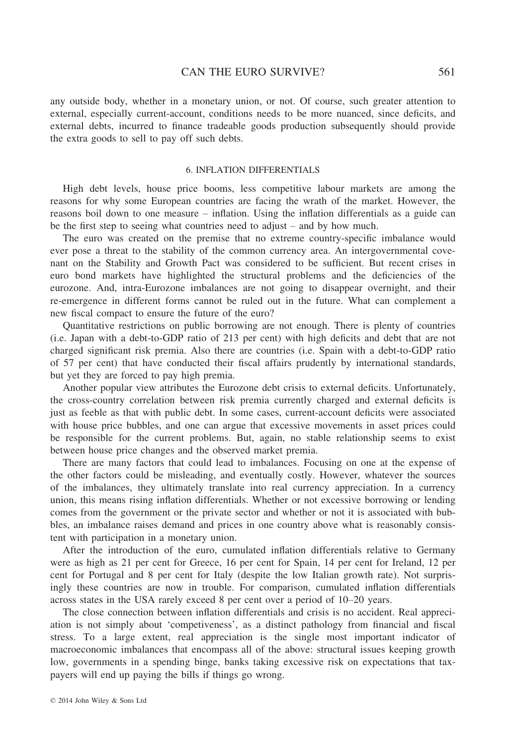any outside body, whether in a monetary union, or not. Of course, such greater attention to external, especially current-account, conditions needs to be more nuanced, since deficits, and external debts, incurred to finance tradeable goods production subsequently should provide the extra goods to sell to pay off such debts.

#### 6. INFLATION DIFFERENTIALS

High debt levels, house price booms, less competitive labour markets are among the reasons for why some European countries are facing the wrath of the market. However, the reasons boil down to one measure – inflation. Using the inflation differentials as a guide can be the first step to seeing what countries need to adjust – and by how much.

The euro was created on the premise that no extreme country-specific imbalance would ever pose a threat to the stability of the common currency area. An intergovernmental covenant on the Stability and Growth Pact was considered to be sufficient. But recent crises in euro bond markets have highlighted the structural problems and the deficiencies of the eurozone. And, intra-Eurozone imbalances are not going to disappear overnight, and their re-emergence in different forms cannot be ruled out in the future. What can complement a new fiscal compact to ensure the future of the euro?

Quantitative restrictions on public borrowing are not enough. There is plenty of countries (i.e. Japan with a debt-to-GDP ratio of 213 per cent) with high deficits and debt that are not charged significant risk premia. Also there are countries (i.e. Spain with a debt-to-GDP ratio of 57 per cent) that have conducted their fiscal affairs prudently by international standards, but yet they are forced to pay high premia.

Another popular view attributes the Eurozone debt crisis to external deficits. Unfortunately, the cross-country correlation between risk premia currently charged and external deficits is just as feeble as that with public debt. In some cases, current-account deficits were associated with house price bubbles, and one can argue that excessive movements in asset prices could be responsible for the current problems. But, again, no stable relationship seems to exist between house price changes and the observed market premia.

There are many factors that could lead to imbalances. Focusing on one at the expense of the other factors could be misleading, and eventually costly. However, whatever the sources of the imbalances, they ultimately translate into real currency appreciation. In a currency union, this means rising inflation differentials. Whether or not excessive borrowing or lending comes from the government or the private sector and whether or not it is associated with bubbles, an imbalance raises demand and prices in one country above what is reasonably consistent with participation in a monetary union.

After the introduction of the euro, cumulated inflation differentials relative to Germany were as high as 21 per cent for Greece, 16 per cent for Spain, 14 per cent for Ireland, 12 per cent for Portugal and 8 per cent for Italy (despite the low Italian growth rate). Not surprisingly these countries are now in trouble. For comparison, cumulated inflation differentials across states in the USA rarely exceed 8 per cent over a period of 10–20 years.

The close connection between inflation differentials and crisis is no accident. Real appreciation is not simply about 'competiveness', as a distinct pathology from financial and fiscal stress. To a large extent, real appreciation is the single most important indicator of macroeconomic imbalances that encompass all of the above: structural issues keeping growth low, governments in a spending binge, banks taking excessive risk on expectations that taxpayers will end up paying the bills if things go wrong.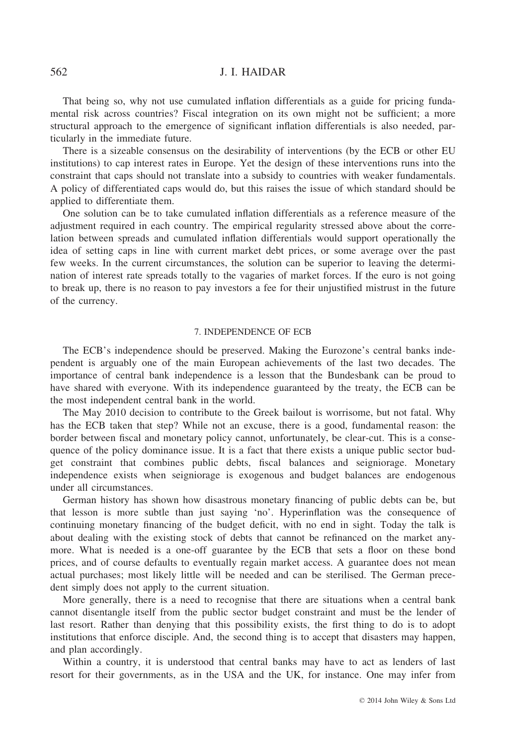That being so, why not use cumulated inflation differentials as a guide for pricing fundamental risk across countries? Fiscal integration on its own might not be sufficient; a more structural approach to the emergence of significant inflation differentials is also needed, particularly in the immediate future.

There is a sizeable consensus on the desirability of interventions (by the ECB or other EU institutions) to cap interest rates in Europe. Yet the design of these interventions runs into the constraint that caps should not translate into a subsidy to countries with weaker fundamentals. A policy of differentiated caps would do, but this raises the issue of which standard should be applied to differentiate them.

One solution can be to take cumulated inflation differentials as a reference measure of the adjustment required in each country. The empirical regularity stressed above about the correlation between spreads and cumulated inflation differentials would support operationally the idea of setting caps in line with current market debt prices, or some average over the past few weeks. In the current circumstances, the solution can be superior to leaving the determination of interest rate spreads totally to the vagaries of market forces. If the euro is not going to break up, there is no reason to pay investors a fee for their unjustified mistrust in the future of the currency.

#### 7. INDEPENDENCE OF ECB

The ECB's independence should be preserved. Making the Eurozone's central banks independent is arguably one of the main European achievements of the last two decades. The importance of central bank independence is a lesson that the Bundesbank can be proud to have shared with everyone. With its independence guaranteed by the treaty, the ECB can be the most independent central bank in the world.

The May 2010 decision to contribute to the Greek bailout is worrisome, but not fatal. Why has the ECB taken that step? While not an excuse, there is a good, fundamental reason: the border between fiscal and monetary policy cannot, unfortunately, be clear-cut. This is a consequence of the policy dominance issue. It is a fact that there exists a unique public sector budget constraint that combines public debts, fiscal balances and seigniorage. Monetary independence exists when seigniorage is exogenous and budget balances are endogenous under all circumstances.

German history has shown how disastrous monetary financing of public debts can be, but that lesson is more subtle than just saying 'no'. Hyperinflation was the consequence of continuing monetary financing of the budget deficit, with no end in sight. Today the talk is about dealing with the existing stock of debts that cannot be refinanced on the market anymore. What is needed is a one-off guarantee by the ECB that sets a floor on these bond prices, and of course defaults to eventually regain market access. A guarantee does not mean actual purchases; most likely little will be needed and can be sterilised. The German precedent simply does not apply to the current situation.

More generally, there is a need to recognise that there are situations when a central bank cannot disentangle itself from the public sector budget constraint and must be the lender of last resort. Rather than denying that this possibility exists, the first thing to do is to adopt institutions that enforce disciple. And, the second thing is to accept that disasters may happen, and plan accordingly.

Within a country, it is understood that central banks may have to act as lenders of last resort for their governments, as in the USA and the UK, for instance. One may infer from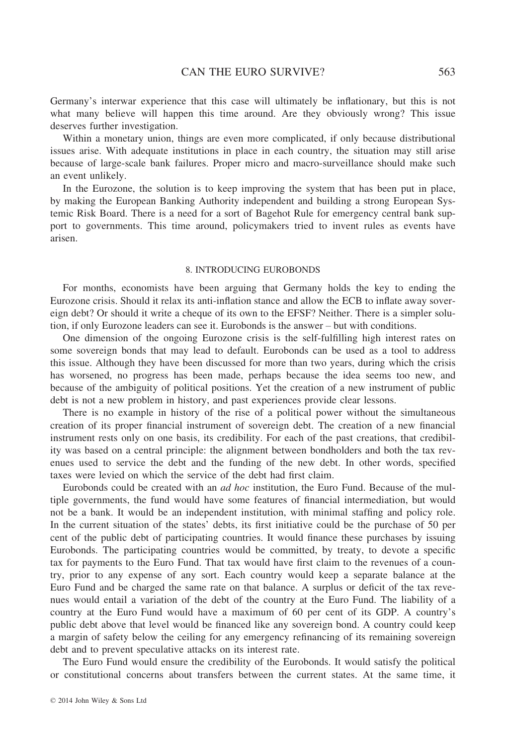Germany's interwar experience that this case will ultimately be inflationary, but this is not what many believe will happen this time around. Are they obviously wrong? This issue deserves further investigation.

Within a monetary union, things are even more complicated, if only because distributional issues arise. With adequate institutions in place in each country, the situation may still arise because of large-scale bank failures. Proper micro and macro-surveillance should make such an event unlikely.

In the Eurozone, the solution is to keep improving the system that has been put in place, by making the European Banking Authority independent and building a strong European Systemic Risk Board. There is a need for a sort of Bagehot Rule for emergency central bank support to governments. This time around, policymakers tried to invent rules as events have arisen.

## 8. INTRODUCING EUROBONDS

For months, economists have been arguing that Germany holds the key to ending the Eurozone crisis. Should it relax its anti-inflation stance and allow the ECB to inflate away sovereign debt? Or should it write a cheque of its own to the EFSF? Neither. There is a simpler solution, if only Eurozone leaders can see it. Eurobonds is the answer – but with conditions.

One dimension of the ongoing Eurozone crisis is the self-fulfilling high interest rates on some sovereign bonds that may lead to default. Eurobonds can be used as a tool to address this issue. Although they have been discussed for more than two years, during which the crisis has worsened, no progress has been made, perhaps because the idea seems too new, and because of the ambiguity of political positions. Yet the creation of a new instrument of public debt is not a new problem in history, and past experiences provide clear lessons.

There is no example in history of the rise of a political power without the simultaneous creation of its proper financial instrument of sovereign debt. The creation of a new financial instrument rests only on one basis, its credibility. For each of the past creations, that credibility was based on a central principle: the alignment between bondholders and both the tax revenues used to service the debt and the funding of the new debt. In other words, specified taxes were levied on which the service of the debt had first claim.

Eurobonds could be created with an ad hoc institution, the Euro Fund. Because of the multiple governments, the fund would have some features of financial intermediation, but would not be a bank. It would be an independent institution, with minimal staffing and policy role. In the current situation of the states' debts, its first initiative could be the purchase of 50 per cent of the public debt of participating countries. It would finance these purchases by issuing Eurobonds. The participating countries would be committed, by treaty, to devote a specific tax for payments to the Euro Fund. That tax would have first claim to the revenues of a country, prior to any expense of any sort. Each country would keep a separate balance at the Euro Fund and be charged the same rate on that balance. A surplus or deficit of the tax revenues would entail a variation of the debt of the country at the Euro Fund. The liability of a country at the Euro Fund would have a maximum of 60 per cent of its GDP. A country's public debt above that level would be financed like any sovereign bond. A country could keep a margin of safety below the ceiling for any emergency refinancing of its remaining sovereign debt and to prevent speculative attacks on its interest rate.

The Euro Fund would ensure the credibility of the Eurobonds. It would satisfy the political or constitutional concerns about transfers between the current states. At the same time, it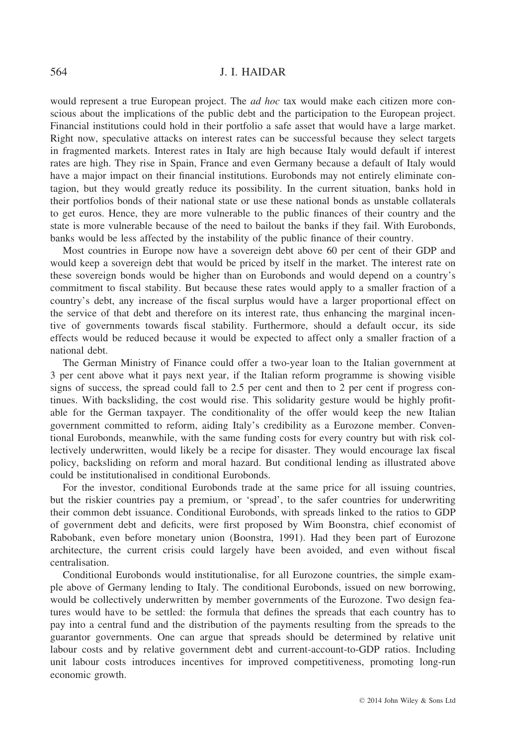would represent a true European project. The *ad hoc* tax would make each citizen more conscious about the implications of the public debt and the participation to the European project. Financial institutions could hold in their portfolio a safe asset that would have a large market. Right now, speculative attacks on interest rates can be successful because they select targets in fragmented markets. Interest rates in Italy are high because Italy would default if interest rates are high. They rise in Spain, France and even Germany because a default of Italy would have a major impact on their financial institutions. Eurobonds may not entirely eliminate contagion, but they would greatly reduce its possibility. In the current situation, banks hold in their portfolios bonds of their national state or use these national bonds as unstable collaterals to get euros. Hence, they are more vulnerable to the public finances of their country and the state is more vulnerable because of the need to bailout the banks if they fail. With Eurobonds, banks would be less affected by the instability of the public finance of their country.

Most countries in Europe now have a sovereign debt above 60 per cent of their GDP and would keep a sovereign debt that would be priced by itself in the market. The interest rate on these sovereign bonds would be higher than on Eurobonds and would depend on a country's commitment to fiscal stability. But because these rates would apply to a smaller fraction of a country's debt, any increase of the fiscal surplus would have a larger proportional effect on the service of that debt and therefore on its interest rate, thus enhancing the marginal incentive of governments towards fiscal stability. Furthermore, should a default occur, its side effects would be reduced because it would be expected to affect only a smaller fraction of a national debt.

The German Ministry of Finance could offer a two-year loan to the Italian government at 3 per cent above what it pays next year, if the Italian reform programme is showing visible signs of success, the spread could fall to 2.5 per cent and then to 2 per cent if progress continues. With backsliding, the cost would rise. This solidarity gesture would be highly profitable for the German taxpayer. The conditionality of the offer would keep the new Italian government committed to reform, aiding Italy's credibility as a Eurozone member. Conventional Eurobonds, meanwhile, with the same funding costs for every country but with risk collectively underwritten, would likely be a recipe for disaster. They would encourage lax fiscal policy, backsliding on reform and moral hazard. But conditional lending as illustrated above could be institutionalised in conditional Eurobonds.

For the investor, conditional Eurobonds trade at the same price for all issuing countries, but the riskier countries pay a premium, or 'spread', to the safer countries for underwriting their common debt issuance. Conditional Eurobonds, with spreads linked to the ratios to GDP of government debt and deficits, were first proposed by Wim Boonstra, chief economist of Rabobank, even before monetary union (Boonstra, 1991). Had they been part of Eurozone architecture, the current crisis could largely have been avoided, and even without fiscal centralisation.

Conditional Eurobonds would institutionalise, for all Eurozone countries, the simple example above of Germany lending to Italy. The conditional Eurobonds, issued on new borrowing, would be collectively underwritten by member governments of the Eurozone. Two design features would have to be settled: the formula that defines the spreads that each country has to pay into a central fund and the distribution of the payments resulting from the spreads to the guarantor governments. One can argue that spreads should be determined by relative unit labour costs and by relative government debt and current-account-to-GDP ratios. Including unit labour costs introduces incentives for improved competitiveness, promoting long-run economic growth.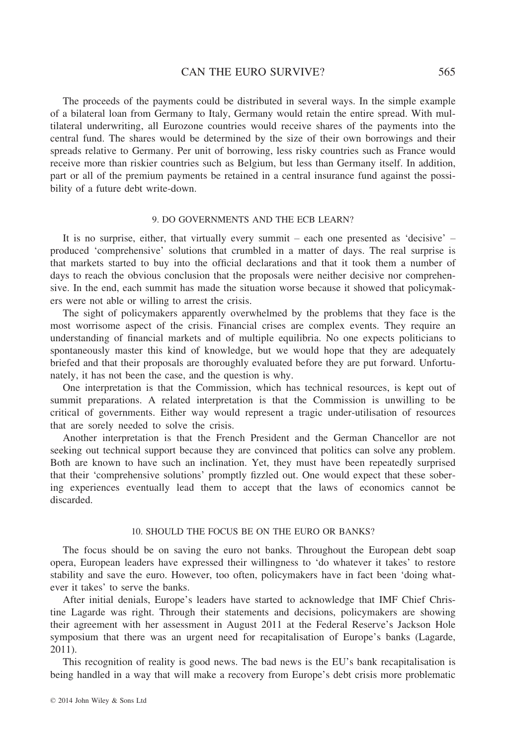The proceeds of the payments could be distributed in several ways. In the simple example of a bilateral loan from Germany to Italy, Germany would retain the entire spread. With multilateral underwriting, all Eurozone countries would receive shares of the payments into the central fund. The shares would be determined by the size of their own borrowings and their spreads relative to Germany. Per unit of borrowing, less risky countries such as France would receive more than riskier countries such as Belgium, but less than Germany itself. In addition, part or all of the premium payments be retained in a central insurance fund against the possibility of a future debt write-down.

## 9. DO GOVERNMENTS AND THE ECB LEARN?

It is no surprise, either, that virtually every summit – each one presented as 'decisive' – produced 'comprehensive' solutions that crumbled in a matter of days. The real surprise is that markets started to buy into the official declarations and that it took them a number of days to reach the obvious conclusion that the proposals were neither decisive nor comprehensive. In the end, each summit has made the situation worse because it showed that policymakers were not able or willing to arrest the crisis.

The sight of policymakers apparently overwhelmed by the problems that they face is the most worrisome aspect of the crisis. Financial crises are complex events. They require an understanding of financial markets and of multiple equilibria. No one expects politicians to spontaneously master this kind of knowledge, but we would hope that they are adequately briefed and that their proposals are thoroughly evaluated before they are put forward. Unfortunately, it has not been the case, and the question is why.

One interpretation is that the Commission, which has technical resources, is kept out of summit preparations. A related interpretation is that the Commission is unwilling to be critical of governments. Either way would represent a tragic under-utilisation of resources that are sorely needed to solve the crisis.

Another interpretation is that the French President and the German Chancellor are not seeking out technical support because they are convinced that politics can solve any problem. Both are known to have such an inclination. Yet, they must have been repeatedly surprised that their 'comprehensive solutions' promptly fizzled out. One would expect that these sobering experiences eventually lead them to accept that the laws of economics cannot be discarded.

#### 10. SHOULD THE FOCUS BE ON THE EURO OR BANKS?

The focus should be on saving the euro not banks. Throughout the European debt soap opera, European leaders have expressed their willingness to 'do whatever it takes' to restore stability and save the euro. However, too often, policymakers have in fact been 'doing whatever it takes' to serve the banks.

After initial denials, Europe's leaders have started to acknowledge that IMF Chief Christine Lagarde was right. Through their statements and decisions, policymakers are showing their agreement with her assessment in August 2011 at the Federal Reserve's Jackson Hole symposium that there was an urgent need for recapitalisation of Europe's banks (Lagarde, 2011).

This recognition of reality is good news. The bad news is the EU's bank recapitalisation is being handled in a way that will make a recovery from Europe's debt crisis more problematic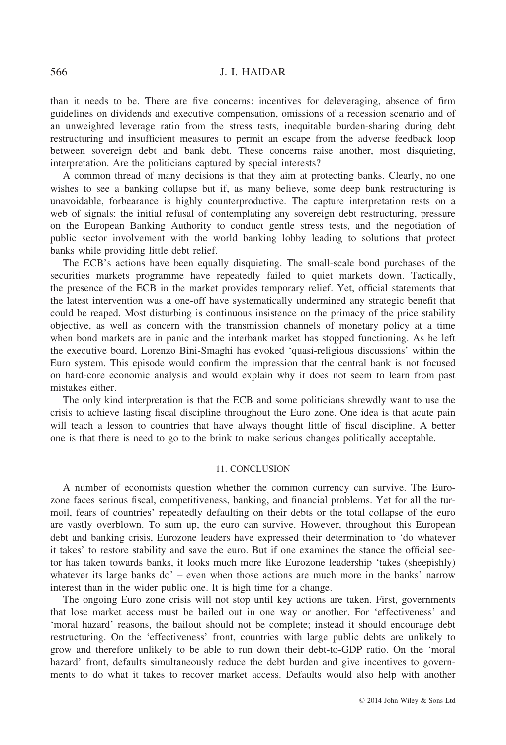than it needs to be. There are five concerns: incentives for deleveraging, absence of firm guidelines on dividends and executive compensation, omissions of a recession scenario and of an unweighted leverage ratio from the stress tests, inequitable burden-sharing during debt restructuring and insufficient measures to permit an escape from the adverse feedback loop between sovereign debt and bank debt. These concerns raise another, most disquieting, interpretation. Are the politicians captured by special interests?

A common thread of many decisions is that they aim at protecting banks. Clearly, no one wishes to see a banking collapse but if, as many believe, some deep bank restructuring is unavoidable, forbearance is highly counterproductive. The capture interpretation rests on a web of signals: the initial refusal of contemplating any sovereign debt restructuring, pressure on the European Banking Authority to conduct gentle stress tests, and the negotiation of public sector involvement with the world banking lobby leading to solutions that protect banks while providing little debt relief.

The ECB's actions have been equally disquieting. The small-scale bond purchases of the securities markets programme have repeatedly failed to quiet markets down. Tactically, the presence of the ECB in the market provides temporary relief. Yet, official statements that the latest intervention was a one-off have systematically undermined any strategic benefit that could be reaped. Most disturbing is continuous insistence on the primacy of the price stability objective, as well as concern with the transmission channels of monetary policy at a time when bond markets are in panic and the interbank market has stopped functioning. As he left the executive board, Lorenzo Bini-Smaghi has evoked 'quasi-religious discussions' within the Euro system. This episode would confirm the impression that the central bank is not focused on hard-core economic analysis and would explain why it does not seem to learn from past mistakes either.

The only kind interpretation is that the ECB and some politicians shrewdly want to use the crisis to achieve lasting fiscal discipline throughout the Euro zone. One idea is that acute pain will teach a lesson to countries that have always thought little of fiscal discipline. A better one is that there is need to go to the brink to make serious changes politically acceptable.

# 11. CONCLUSION

A number of economists question whether the common currency can survive. The Eurozone faces serious fiscal, competitiveness, banking, and financial problems. Yet for all the turmoil, fears of countries' repeatedly defaulting on their debts or the total collapse of the euro are vastly overblown. To sum up, the euro can survive. However, throughout this European debt and banking crisis, Eurozone leaders have expressed their determination to 'do whatever it takes' to restore stability and save the euro. But if one examines the stance the official sector has taken towards banks, it looks much more like Eurozone leadership 'takes (sheepishly) whatever its large banks  $do'$  – even when those actions are much more in the banks' narrow interest than in the wider public one. It is high time for a change.

The ongoing Euro zone crisis will not stop until key actions are taken. First, governments that lose market access must be bailed out in one way or another. For 'effectiveness' and 'moral hazard' reasons, the bailout should not be complete; instead it should encourage debt restructuring. On the 'effectiveness' front, countries with large public debts are unlikely to grow and therefore unlikely to be able to run down their debt-to-GDP ratio. On the 'moral hazard' front, defaults simultaneously reduce the debt burden and give incentives to governments to do what it takes to recover market access. Defaults would also help with another